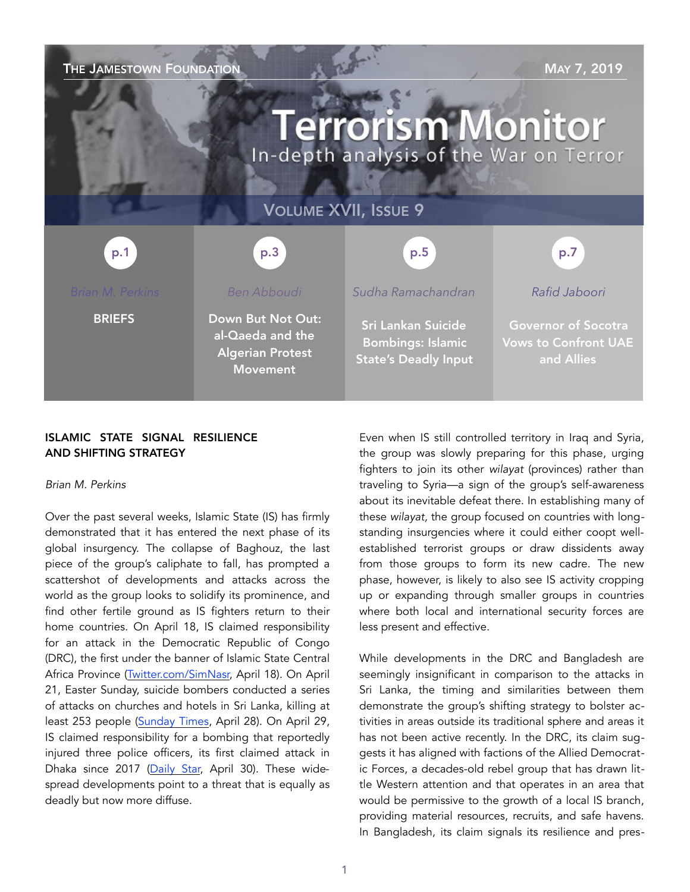# THE JAMESTOWN FOUNDATION MAY 7, 2019 **Terrorism Monitor** In-depth analysis of the War on Terror VOLUME XVII, ISSUE 9 p.3 p.1 p.5 p.7*Rafid Jaboori Brian M. Perkins*

**BRIEFS** 

*Ben Abboudi* 

Down But Not Out: al-Qaeda and the Algerian Protest

Movement

*Sudha Ramachandran* 

Sri Lankan Suicide Bombings: Islamic State's Deadly Input

Governor of Socotra Vows to Confront UAE and Allies

# ISLAMIC STATE SIGNAL RESILIENCE AND SHIFTING STRATEGY

# *Brian M. Perkins*

Over the past several weeks, Islamic State (IS) has firmly demonstrated that it has entered the next phase of its global insurgency. The collapse of Baghouz, the last piece of the group's caliphate to fall, has prompted a scattershot of developments and attacks across the world as the group looks to solidify its prominence, and find other fertile ground as IS fighters return to their home countries. On April 18, IS claimed responsibility for an attack in the Democratic Republic of Congo (DRC), the first under the banner of Islamic State Central Africa Province ([Twitter.com/SimNasr,](https://twitter.com/SimNasr/status/1118936681229504513) April 18). On April 21, Easter Sunday, suicide bombers conducted a series of attacks on churches and hotels in Sri Lanka, killing at least 253 people ([Sunday Times](http://www.sundaytimes.lk/190428/news/health-services-chief-clarifies-discrepancy-regarding-death-toll-figures-347253.html), April 28). On April 29, IS claimed responsibility for a bombing that reportedly injured three police officers, its first claimed attack in Dhaka since 2017 [\(Daily Star,](https://www.thedailystar.net/city/dhaka-gulistan-bomb-was-different-dmp-chief-1736977) April 30). These widespread developments point to a threat that is equally as deadly but now more diffuse.

Even when IS still controlled territory in Iraq and Syria, the group was slowly preparing for this phase, urging fighters to join its other *wilayat* (provinces) rather than traveling to Syria—a sign of the group's self-awareness about its inevitable defeat there. In establishing many of these *wilayat,* the group focused on countries with longstanding insurgencies where it could either coopt wellestablished terrorist groups or draw dissidents away from those groups to form its new cadre. The new phase, however, is likely to also see IS activity cropping up or expanding through smaller groups in countries where both local and international security forces are less present and effective.

While developments in the DRC and Bangladesh are seemingly insignificant in comparison to the attacks in Sri Lanka, the timing and similarities between them demonstrate the group's shifting strategy to bolster activities in areas outside its traditional sphere and areas it has not been active recently. In the DRC, its claim suggests it has aligned with factions of the Allied Democratic Forces, a decades-old rebel group that has drawn little Western attention and that operates in an area that would be permissive to the growth of a local IS branch, providing material resources, recruits, and safe havens. In Bangladesh, its claim signals its resilience and pres-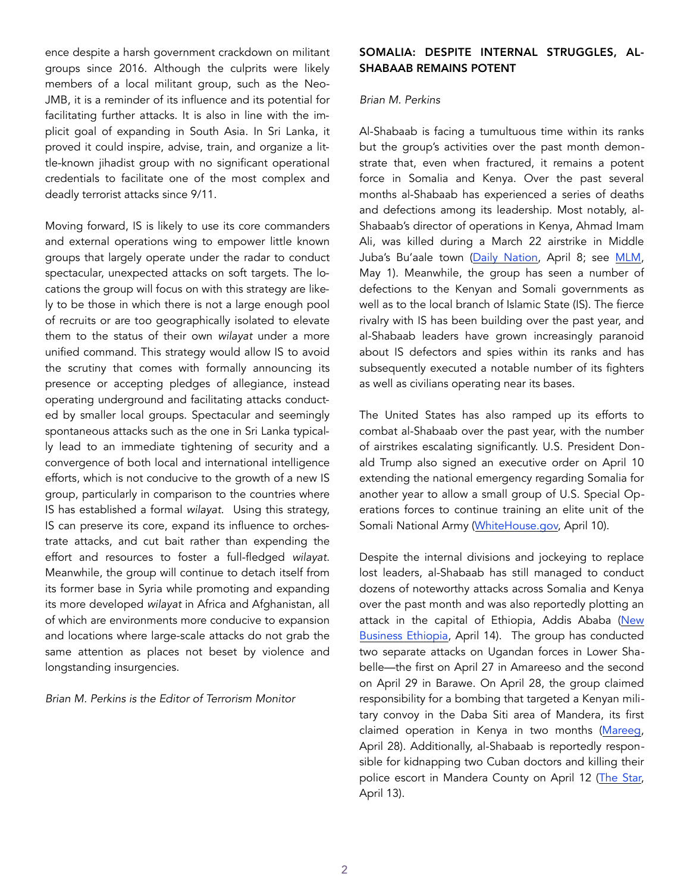ence despite a harsh government crackdown on militant groups since 2016. Although the culprits were likely members of a local militant group, such as the Neo-JMB, it is a reminder of its influence and its potential for facilitating further attacks. It is also in line with the implicit goal of expanding in South Asia. In Sri Lanka, it proved it could inspire, advise, train, and organize a little-known jihadist group with no significant operational credentials to facilitate one of the most complex and deadly terrorist attacks since 9/11.

Moving forward, IS is likely to use its core commanders and external operations wing to empower little known groups that largely operate under the radar to conduct spectacular, unexpected attacks on soft targets. The locations the group will focus on with this strategy are likely to be those in which there is not a large enough pool of recruits or are too geographically isolated to elevate them to the status of their own *wilayat* under a more unified command. This strategy would allow IS to avoid the scrutiny that comes with formally announcing its presence or accepting pledges of allegiance, instead operating underground and facilitating attacks conducted by smaller local groups. Spectacular and seemingly spontaneous attacks such as the one in Sri Lanka typically lead to an immediate tightening of security and a convergence of both local and international intelligence efforts, which is not conducive to the growth of a new IS group, particularly in comparison to the countries where IS has established a formal *wilayat*. Using this strategy, IS can preserve its core, expand its influence to orchestrate attacks, and cut bait rather than expending the effort and resources to foster a full-fledged *wilayat*. Meanwhile, the group will continue to detach itself from its former base in Syria while promoting and expanding its more developed *wilayat* in Africa and Afghanistan, all of which are environments more conducive to expansion and locations where large-scale attacks do not grab the same attention as places not beset by violence and longstanding insurgencies.

*Brian M. Perkins is the Editor of Terrorism Monitor* 

# SOMALIA: DESPITE INTERNAL STRUGGLES, AL-SHABAAB REMAINS POTENT

## *Brian M. Perkins*

Al-Shabaab is facing a tumultuous time within its ranks but the group's activities over the past month demonstrate that, even when fractured, it remains a potent force in Somalia and Kenya. Over the past several months al-Shabaab has experienced a series of deaths and defections among its leadership. Most notably, al-Shabaab's director of operations in Kenya, Ahmad Imam Ali, was killed during a March 22 airstrike in Middle Juba's Bu'aale town (Daily Nation, April 8; see [MLM,](https://jamestown.org/program/post-mortem-analysis-key-kenyan-al-shabaab-commander-shaykh-iman-ali-killed-in-airs) May 1). Meanwhile, the group has seen a number of defections to the Kenyan and Somali governments as well as to the local branch of Islamic State (IS). The fierce rivalry with IS has been building over the past year, and al-Shabaab leaders have grown increasingly paranoid about IS defectors and spies within its ranks and has subsequently executed a notable number of its fighters as well as civilians operating near its bases.

The United States has also ramped up its efforts to combat al-Shabaab over the past year, with the number of airstrikes escalating significantly. U.S. President Donald Trump also signed an executive order on April 10 extending the national emergency regarding Somalia for another year to allow a small group of U.S. Special Operations forces to continue training an elite unit of the Somali National Army ([WhiteHouse.gov,](https://www.whitehouse.gov/briefings-statements/message-congress-continuation-national-emergency-respect-somalia/) April 10).

Despite the internal divisions and jockeying to replace lost leaders, al-Shabaab has still managed to conduct dozens of noteworthy attacks across Somalia and Kenya over the past month and was also reportedly plotting an attack in the capital of Ethiopia, Addis Ababa (New Business Ethiopia, April 14). The group has conducted two separate attacks on Ugandan forces in Lower Shabelle—the first on April 27 in Amareeso and the second on April 29 in Barawe. On April 28, the group claimed responsibility for a bombing that targeted a Kenyan military convoy in the Daba Siti area of Mandera, its first claimed operation in Kenya in two months ([Mareeg,](https://mareeg.co) April 28). Additionally, al-Shabaab is reportedly responsible for kidnapping two Cuban doctors and killing their police escort in Mandera County on April 12 ([The Star,](https://www.the-star.c) April 13).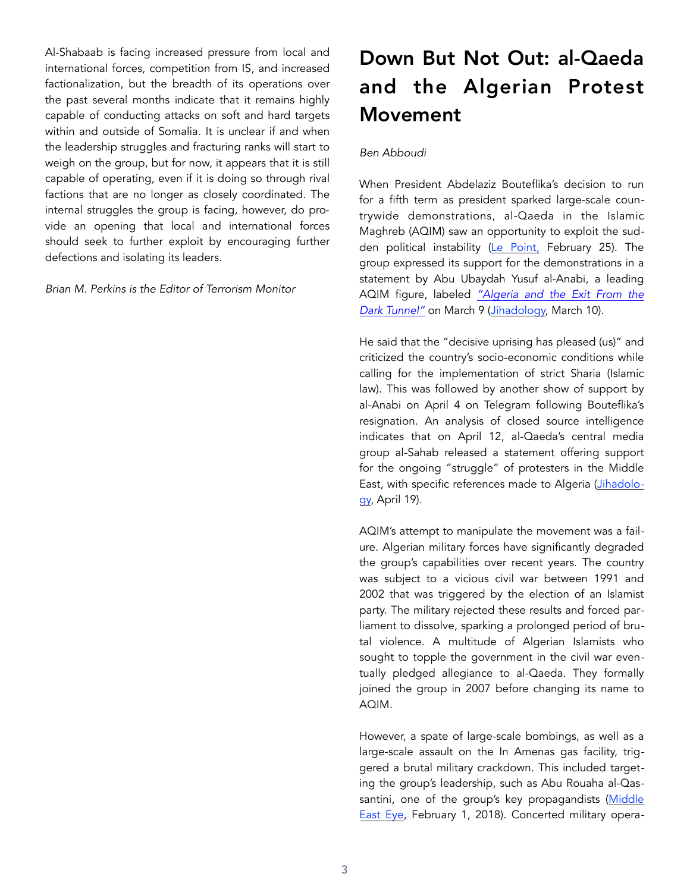Al-Shabaab is facing increased pressure from local and international forces, competition from IS, and increased factionalization, but the breadth of its operations over the past several months indicate that it remains highly capable of conducting attacks on soft and hard targets within and outside of Somalia. It is unclear if and when the leadership struggles and fracturing ranks will start to weigh on the group, but for now, it appears that it is still capable of operating, even if it is doing so through rival factions that are no longer as closely coordinated. The internal struggles the group is facing, however, do provide an opening that local and international forces should seek to further exploit by encouraging further defections and isolating its leaders.

#### *Brian M. Perkins is the Editor of Terrorism Monitor*

# Down But Not Out: al-Qaeda and the Algerian Protest Movement

## *Ben Abboudi*

When President Abdelaziz Bouteflika's decision to run for a fifth term as president sparked large-scale countrywide demonstrations, al-Qaeda in the Islamic Maghreb (AQIM) saw an opportunity to exploit the sudden political instability ([Le Point,](https://www.lepoint.fr/afrique/manifestations-du-22-fevrier-pourquoi-les-alger) February 25). The group expressed its support for the demonstrations in a statement by Abu Ubaydah Yusuf al-Anabi, a leading AQIM figure, labeled *["Algeria and the Exit From the](http://www.jihadi.jp/uploads/20190310AQIM.pdf)  [Dark Tunnel"](http://www.jihadi.jp/uploads/20190310AQIM.pdf)* on March 9 ([Jihadology,](https://jihadology.net/2019/03/10/new-video-message-from-al-qaidah-in-the-islamic-maghribs-shaykh-abu-ubaydah-yusuf-al-anabi-alg) March 10).

He said that the "decisive uprising has pleased (us)" and criticized the country's socio-economic conditions while calling for the implementation of strict Sharia (Islamic law). This was followed by another show of support by al-Anabi on April 4 on Telegram following Bouteflika's resignation. An analysis of closed source intelligence indicates that on April 12, al-Qaeda's central media group al-Sahab released a statement offering support for the ongoing "struggle" of protesters in the Middle East, with specific references made to Algeria [\(Jihadolo](https://jihadology.net/2019/04/18/new-statement-from-al-qaidahs-general-command-support-and-rationalization-to-our-people-in-algeria-sudan-tunisia-liby)[gy,](https://jihadology.net/2019/04/18/new-statement-from-al-qaidahs-general-command-support-and-rationalization-to-our-people-in-algeria-sudan-tunisia-liby) April 19).

AQIM's attempt to manipulate the movement was a failure. Algerian military forces have significantly degraded the group's capabilities over recent years. The country was subject to a vicious civil war between 1991 and 2002 that was triggered by the election of an Islamist party. The military rejected these results and forced parliament to dissolve, sparking a prolonged period of brutal violence. A multitude of Algerian Islamists who sought to topple the government in the civil war eventually pledged allegiance to al-Qaeda. They formally joined the group in 2007 before changing its name to AQIM.

However, a spate of large-scale bombings, as well as a large-scale assault on the In Amenas gas facility, triggered a brutal military crackdown. This included targeting the group's leadership, such as Abu Rouaha al-Qassantini, one of the group's key propagandists (Middle [East Eye,](https://www.middleeasteye.net/news/analysis-slow-death-al-qaeda-algeria) February 1, 2018). Concerted military opera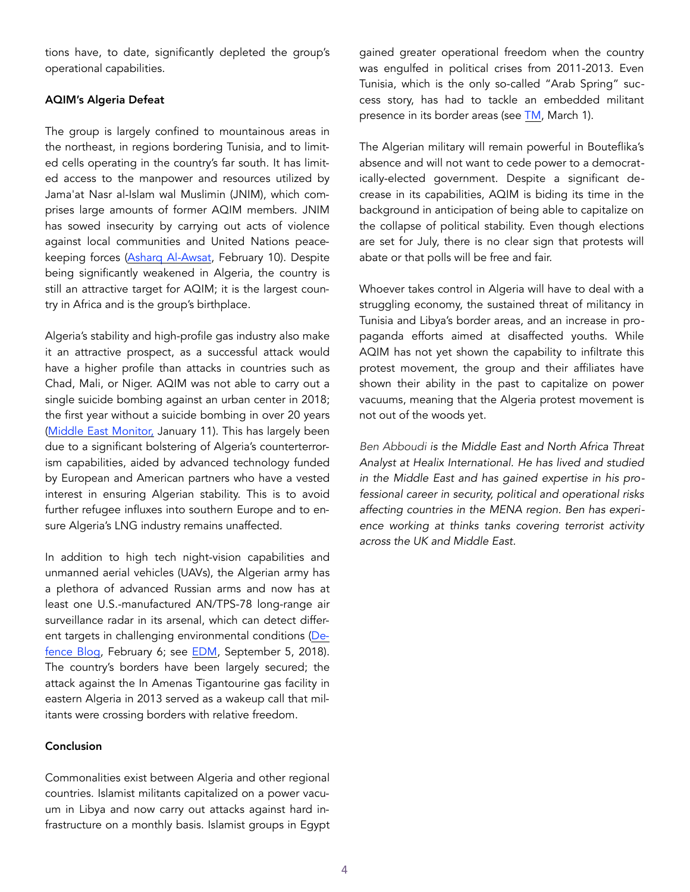tions have, to date, significantly depleted the group's operational capabilities.

## AQIM's Algeria Defeat

The group is largely confined to mountainous areas in the northeast, in regions bordering Tunisia, and to limited cells operating in the country's far south. It has limited access to the manpower and resources utilized by Jama'at Nasr al-Islam wal Muslimin (JNIM), which comprises large amounts of former AQIM members. JNIM has sowed insecurity by carrying out acts of violence against local communities and United Nations peacekeeping forces [\(Asharq Al-Awsat,](https://aawsat.com/english/home/article/1584641/security-report-reveals-surge-terrorist-attacks-africa%E2%80%99s-sahel) February 10). Despite being significantly weakened in Algeria, the country is still an attractive target for AQIM; it is the largest country in Africa and is the group's birthplace.

Algeria's stability and high-profile gas industry also make it an attractive prospect, as a successful attack would have a higher profile than attacks in countries such as Chad, Mali, or Niger. AQIM was not able to carry out a single suicide bombing against an urban center in 2018; the first year without a suicide bombing in over 20 years ([Middle East Monitor,](https://www.middleeastmonitor.com/20190111-algeria-suffers-no-terrorist-bombings-in-2018-first-time-in-26-years/) January 11). This has largely been due to a significant bolstering of Algeria's counterterrorism capabilities, aided by advanced technology funded by European and American partners who have a vested interest in ensuring Algerian stability. This is to avoid further refugee influxes into southern Europe and to ensure Algeria's LNG industry remains unaffected.

In addition to high tech night-vision capabilities and unmanned aerial vehicles (UAVs), the Algerian army has a plethora of advanced Russian arms and now has at least one U.S.-manufactured AN/TPS-78 long-range air surveillance radar in its arsenal, which can detect different targets in challenging environmental conditions [\(De](https://defence-blog.com/army/us-made-long-range-surveillance-radar-s)[fence Blog](https://defence-blog.com/army/us-made-long-range-surveillance-radar-s), February 6; see [EDM,](https://jamestown.org/program/defense-or-domination-building-algerian-power-with-russian-arms/) September 5, 2018). The country's borders have been largely secured; the attack against the In Amenas Tigantourine gas facility in eastern Algeria in 2013 served as a wakeup call that militants were crossing borders with relative freedom.

#### Conclusion

Commonalities exist between Algeria and other regional countries. Islamist militants capitalized on a power vacuum in Libya and now carry out attacks against hard infrastructure on a monthly basis. Islamist groups in Egypt gained greater operational freedom when the country was engulfed in political crises from 2011-2013. Even Tunisia, which is the only so-called "Arab Spring" success story, has had to tackle an embedded militant presence in its border areas (see [TM,](https://jamestown.org/program/the-terrorist-threat-in-tunisia-from-the-borders-to-the-cities/) March 1).

The Algerian military will remain powerful in Bouteflika's absence and will not want to cede power to a democratically-elected government. Despite a significant decrease in its capabilities, AQIM is biding its time in the background in anticipation of being able to capitalize on the collapse of political stability. Even though elections are set for July, there is no clear sign that protests will abate or that polls will be free and fair.

Whoever takes control in Algeria will have to deal with a struggling economy, the sustained threat of militancy in Tunisia and Libya's border areas, and an increase in propaganda efforts aimed at disaffected youths. While AQIM has not yet shown the capability to infiltrate this protest movement, the group and their affiliates have shown their ability in the past to capitalize on power vacuums, meaning that the Algeria protest movement is not out of the woods yet.

*Ben Abboudi is the Middle East and North Africa Threat Analyst at Healix International. He has lived and studied in the Middle East and has gained expertise in his professional career in security, political and operational risks affecting countries in the MENA region. Ben has experience working at thinks tanks covering terrorist activity across the UK and Middle East.*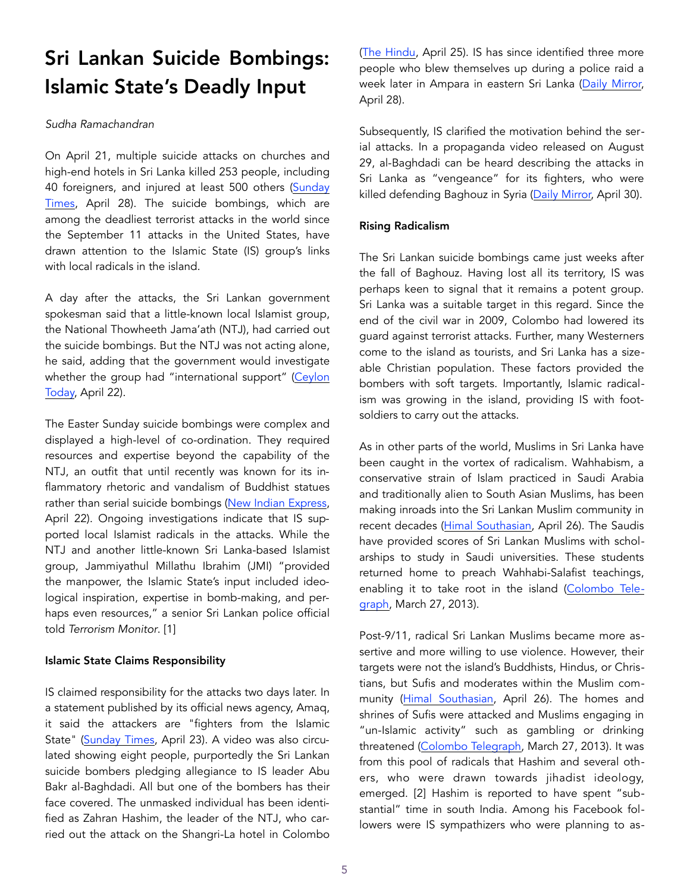# Sri Lankan Suicide Bombings: Islamic State's Deadly Input

# *Sudha Ramachandran*

On April 21, multiple suicide attacks on churches and high-end hotels in Sri Lanka killed 253 people, including 40 foreigners, and injured at least 500 others (Sunday [Times](http://www.sundaytimes.lk/190428/news/health-services-chief-clarifies-discrepancy-regarding-death-toll-figures-347253.html), April 28). The suicide bombings, which are among the deadliest terrorist attacks in the world since the September 11 attacks in the United States, have drawn attention to the Islamic State (IS) group's links with local radicals in the island.

A day after the attacks, the Sri Lankan government spokesman said that a little-known local Islamist group, the National Thowheeth Jama'ath (NTJ), had carried out the suicide bombings. But the NTJ was not acting alone, he said, adding that the government would investigate whether the group had "international support" (Ceylon [Today,](http://ww) April 22).

The Easter Sunday suicide bombings were complex and displayed a high-level of co-ordination. They required resources and expertise beyond the capability of the NTJ, an outfit that until recently was known for its inflammatory rhetoric and vandalism of Buddhist statues rather than serial suicide bombings [\(New Indian Express,](http://www.newindianexpress.com/world/2019/apr/22/sri-lanka-blasts-why-is-national-thowheed-jamath-under-the-) April 22). Ongoing investigations indicate that IS supported local Islamist radicals in the attacks. While the NTJ and another little-known Sri Lanka-based Islamist group, Jammiyathul Millathu Ibrahim (JMI) "provided the manpower, the Islamic State's input included ideological inspiration, expertise in bomb-making, and perhaps even resources," a senior Sri Lankan police official told *Terrorism Monitor*. [1]

# Islamic State Claims Responsibility

IS claimed responsibility for the attacks two days later. In a statement published by its official news agency, Amaq, it said the attackers are "fighters from the Islamic State" [\(Sunday Times](http://www.sundaytimes.lk/article/1085323/islamic-state-claims-responsibility-for-sri-lanka-bombings-reuters), April 23). A video was also circulated showing eight people, purportedly the Sri Lankan suicide bombers pledging allegiance to IS leader Abu Bakr al-Baghdadi. All but one of the bombers has their face covered. The unmasked individual has been identified as Zahran Hashim, the leader of the NTJ, who carried out the attack on the Shangri-La hotel in Colombo ([The Hindu,](https://www.thehindu.com/news/international/radical-cleric-hashim-linked-to-blasts/article26935785.ece) April 25). IS has since identified three more people who blew themselves up during a police raid a week later in Ampara in eastern Sri Lanka ([Daily Mirror,](http://www.dailymirror.lk/breaking_news/IS-says-its-fighters-behind-police-clashes-in-Sri-Lanka/108-166080) April 28).

Subsequently, IS clarified the motivation behind the serial attacks. In a propaganda video released on August 29, al-Baghdadi can be heard describing the attacks in Sri Lanka as "vengeance" for its fighters, who were killed defending Baghouz in Syria ([Daily Mirror,](http://www.dailymirror.lk/breaking_news/IS-chief-speaks-on-video--praises-SL-suicide-bombers/108-166182) April 30).

# Rising Radicalism

The Sri Lankan suicide bombings came just weeks after the fall of Baghouz. Having lost all its territory, IS was perhaps keen to signal that it remains a potent group. Sri Lanka was a suitable target in this regard. Since the end of the civil war in 2009, Colombo had lowered its guard against terrorist attacks. Further, many Westerners come to the island as tourists, and Sri Lanka has a sizeable Christian population. These factors provided the bombers with soft targets. Importantly, Islamic radicalism was growing in the island, providing IS with footsoldiers to carry out the attacks.

As in other parts of the world, Muslims in Sri Lanka have been caught in the vortex of radicalism. Wahhabism, a conservative strain of Islam practiced in Saudi Arabia and traditionally alien to South Asian Muslims, has been making inroads into the Sri Lankan Muslim community in recent decades [\(Himal Southasian,](https://himalmag.com/easter-sunday-blasts-sri-lanka-april-2019-tisaranee-gunasekara/) April 26). The Saudis have provided scores of Sri Lankan Muslims with scholarships to study in Saudi universities. These students returned home to preach Wahhabi-Salafist teachings, enabling it to take root in the island [\(Colombo Tele](https://www.colombotelegraph.com/index)[graph,](https://www.colombotelegraph.com/index) March 27, 2013).

Post-9/11, radical Sri Lankan Muslims became more assertive and more willing to use violence. However, their targets were not the island's Buddhists, Hindus, or Christians, but Sufis and moderates within the Muslim community ([Himal Southasian,](https://himalmag.com/easter-sunday-blasts-sri-lanka-april-2019-tisaranee-gunasekara/) April 26). The homes and shrines of Sufis were attacked and Muslims engaging in "un-Islamic activity" such as gambling or drinking threatened ([Colombo Telegraph,](https://www.colombotelegraph.com/index.php/the-wahhabi-invasion-of-sri-lanka/) March 27, 2013). It was from this pool of radicals that Hashim and several others, who were drawn towards jihadist ideology, emerged. [2] Hashim is reported to have spent "substantial" time in south India. Among his Facebook followers were IS sympathizers who were planning to as-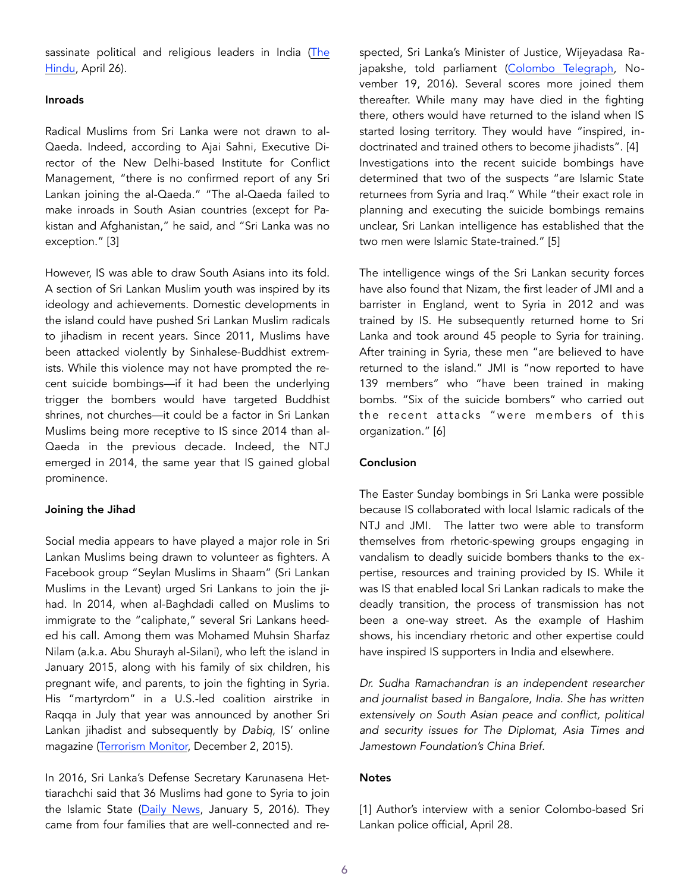sassinate political and religious leaders in India (The [Hindu,](https://www.thehindu.com/news/international/sri-lanka-easter-blasts-suspected-mastermind-zahran-hashim-spent-time-in-south-india-says-top-military-source/article26959549.ece) April 26).

#### Inroads

Radical Muslims from Sri Lanka were not drawn to al-Qaeda. Indeed, according to Ajai Sahni, Executive Director of the New Delhi-based Institute for Conflict Management, "there is no confirmed report of any Sri Lankan joining the al-Qaeda." "The al-Qaeda failed to make inroads in South Asian countries (except for Pakistan and Afghanistan," he said, and "Sri Lanka was no exception." [3]

However, IS was able to draw South Asians into its fold. A section of Sri Lankan Muslim youth was inspired by its ideology and achievements. Domestic developments in the island could have pushed Sri Lankan Muslim radicals to jihadism in recent years. Since 2011, Muslims have been attacked violently by Sinhalese-Buddhist extremists. While this violence may not have prompted the recent suicide bombings—if it had been the underlying trigger the bombers would have targeted Buddhist shrines, not churches—it could be a factor in Sri Lankan Muslims being more receptive to IS since 2014 than al-Qaeda in the previous decade. Indeed, the NTJ emerged in 2014, the same year that IS gained global prominence.

#### Joining the Jihad

Social media appears to have played a major role in Sri Lankan Muslims being drawn to volunteer as fighters. A Facebook group "Seylan Muslims in Shaam" (Sri Lankan Muslims in the Levant) urged Sri Lankans to join the jihad. In 2014, when al-Baghdadi called on Muslims to immigrate to the "caliphate," several Sri Lankans heeded his call. Among them was Mohamed Muhsin Sharfaz Nilam (a.k.a. Abu Shurayh al-Silani), who left the island in January 2015, along with his family of six children, his pregnant wife, and parents, to join the fighting in Syria. His "martyrdom" in a U.S.-led coalition airstrike in Raqqa in July that year was announced by another Sri Lankan jihadist and subsequently by *Dabiq*, IS' online magazine [\(Terrorism Monitor,](https://jamestown.org/program/islamic-states-sri-lankan-outreach/) December 2, 2015).

In 2016, Sri Lanka's Defense Secretary Karunasena Hettiarachchi said that 36 Muslims had gone to Syria to join the Islamic State [\(Daily News,](http://www.dailynews.lk/2016/01/05/local/army-monitoring-situation-lankan-muslims-joining) January 5, 2016). They came from four families that are well-connected and respected, Sri Lanka's Minister of Justice, Wijeyadasa Rajapakshe, told parliament ([Colombo Telegraph,](https://www.colombotelegraph.com/index.php/wijeyadasa-repeats-old-story-in-parliament-and-provokes-anti-muslim-campaign/) November 19, 2016). Several scores more joined them thereafter. While many may have died in the fighting there, others would have returned to the island when IS started losing territory. They would have "inspired, indoctrinated and trained others to become jihadists". [4] Investigations into the recent suicide bombings have determined that two of the suspects "are Islamic State returnees from Syria and Iraq." While "their exact role in planning and executing the suicide bombings remains unclear, Sri Lankan intelligence has established that the two men were Islamic State-trained." [5]

The intelligence wings of the Sri Lankan security forces have also found that Nizam, the first leader of JMI and a barrister in England, went to Syria in 2012 and was trained by IS. He subsequently returned home to Sri Lanka and took around 45 people to Syria for training. After training in Syria, these men "are believed to have returned to the island." JMI is "now reported to have 139 members" who "have been trained in making bombs. "Six of the suicide bombers" who carried out the recent attacks "were members of this organization." [6]

## **Conclusion**

The Easter Sunday bombings in Sri Lanka were possible because IS collaborated with local Islamic radicals of the NTJ and JMI. The latter two were able to transform themselves from rhetoric-spewing groups engaging in vandalism to deadly suicide bombers thanks to the expertise, resources and training provided by IS. While it was IS that enabled local Sri Lankan radicals to make the deadly transition, the process of transmission has not been a one-way street. As the example of Hashim shows, his incendiary rhetoric and other expertise could have inspired IS supporters in India and elsewhere.

*Dr. Sudha Ramachandran is an independent researcher and journalist based in Bangalore, India. She has written extensively on South Asian peace and conflict, political and security issues for The Diplomat, Asia Times and Jamestown Foundation's China Brief.* 

#### **Notes**

[1] Author's interview with a senior Colombo-based Sri Lankan police official, April 28.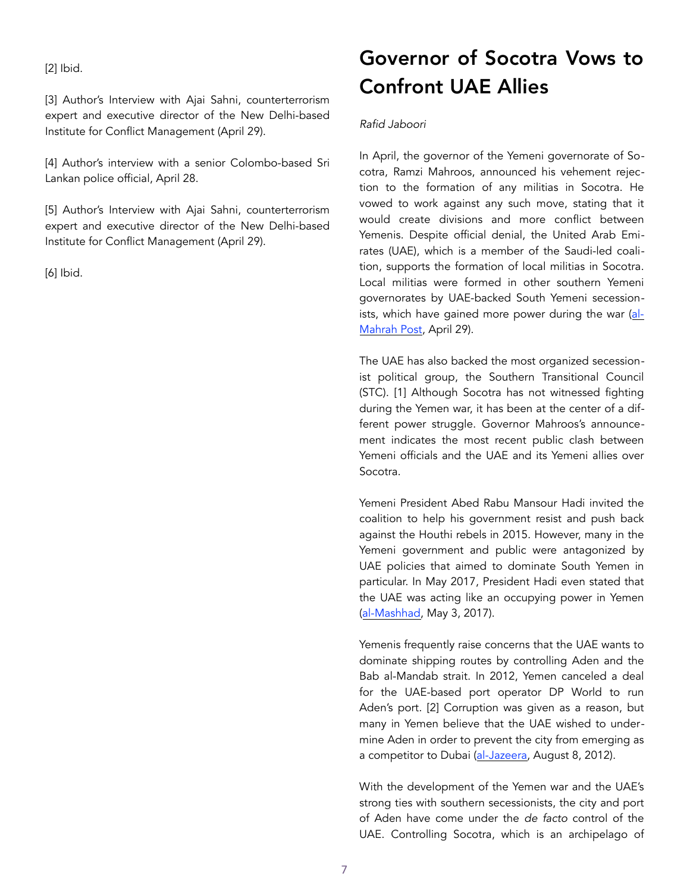[2] Ibid.

[3] Author's Interview with Ajai Sahni, counterterrorism expert and executive director of the New Delhi-based Institute for Conflict Management (April 29).

[4] Author's interview with a senior Colombo-based Sri Lankan police official, April 28.

[5] Author's Interview with Ajai Sahni, counterterrorism expert and executive director of the New Delhi-based Institute for Conflict Management (April 29).

[6] Ibid.

# Governor of Socotra Vows to Confront UAE Allies

# *Rafid Jaboori*

In April, the governor of the Yemeni governorate of Socotra, Ramzi Mahroos, announced his vehement rejection to the formation of any militias in Socotra. He vowed to work against any such move, stating that it would create divisions and more conflict between Yemenis. Despite official denial, the United Arab Emirates (UAE), which is a member of the Saudi-led coalition, supports the formation of local militias in Socotra. Local militias were formed in other southern Yemeni governorates by UAE-backed South Yemeni secessionists, which have gained more power during the war ([al-](https://almahrahpost.com/news/10602%22%20%5Cl%20%22.XMzInq2ZOqC)[Mahrah Post,](https://almahrahpost.com/news/10602%22%20%5Cl%20%22.XMzInq2ZOqC) April 29).

The UAE has also backed the most organized secessionist political group, the Southern Transitional Council (STC). [1] Although Socotra has not witnessed fighting during the Yemen war, it has been at the center of a different power struggle. Governor Mahroos's announcement indicates the most recent public clash between Yemeni officials and the UAE and its Yemeni allies over Socotra.

Yemeni President Abed Rabu Mansour Hadi invited the coalition to help his government resist and push back against the Houthi rebels in 2015. However, many in the Yemeni government and public were antagonized by UAE policies that aimed to dominate South Yemen in particular. In May 2017, President Hadi even stated that the UAE was acting like an occupying power in Yemen ([al-Mashhad,](http://www.salmashhad.com/news/16714) May 3, 2017).

Yemenis frequently raise concerns that the UAE wants to dominate shipping routes by controlling Aden and the Bab al-Mandab strait. In 2012, Yemen canceled a deal for the UAE-based port operator DP World to run Aden's port. [2] Corruption was given as a reason, but many in Yemen believe that the UAE wished to undermine Aden in order to prevent the city from emerging as a competitor to Dubai [\(al-Jazeera,](https://www.aljazeera.net/news/ebusiness/2012/8/25/%D8%A7%D9%84%D9%8A%D9%85%D9%86-%D9%8A%D9%84%D8%BA%D9%8A-%D8%A7%D8%AA%D9%81%D8%A7) August 8, 2012).

With the development of the Yemen war and the UAE's strong ties with southern secessionists, the city and port of Aden have come under the *de facto* control of the UAE. Controlling Socotra, which is an archipelago of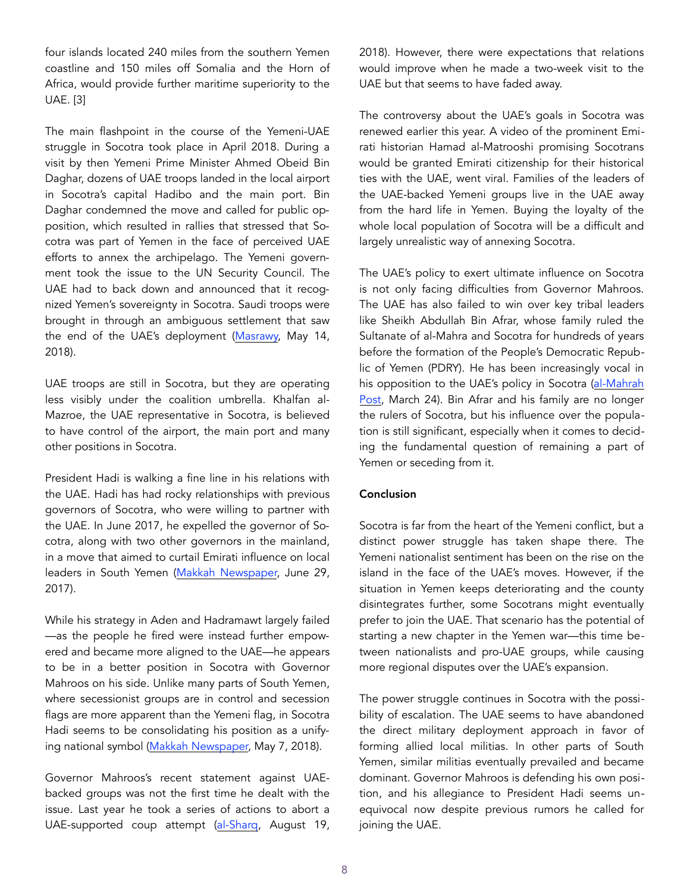four islands located 240 miles from the southern Yemen coastline and 150 miles off Somalia and the Horn of Africa, would provide further maritime superiority to the UAE. [3]

The main flashpoint in the course of the Yemeni-UAE struggle in Socotra took place in April 2018. During a visit by then Yemeni Prime Minister Ahmed Obeid Bin Daghar, dozens of UAE troops landed in the local airport in Socotra's capital Hadibo and the main port. Bin Daghar condemned the move and called for public opposition, which resulted in rallies that stressed that Socotra was part of Yemen in the face of perceived UAE efforts to annex the archipelago. The Yemeni government took the issue to the UN Security Council. The UAE had to back down and announced that it recognized Yemen's sovereignty in Socotra. Saudi troops were brought in through an ambiguous settlement that saw the end of the UAE's deployment ([Masrawy,](https://www.masrawy.com/news/ne) May 14, 2018).

UAE troops are still in Socotra, but they are operating less visibly under the coalition umbrella. Khalfan al-Mazroe, the UAE representative in Socotra, is believed to have control of the airport, the main port and many other positions in Socotra.

President Hadi is walking a fine line in his relations with the UAE. Hadi has had rocky relationships with previous governors of Socotra, who were willing to partner with the UAE. In June 2017, he expelled the governor of Socotra, along with two other governors in the mainland, in a move that aimed to curtail Emirati influence on local leaders in South Yemen (Makkah Newspaper, June 29, 2017).

While his strategy in Aden and Hadramawt largely failed —as the people he fired were instead further empowered and became more aligned to the UAE—he appears to be in a better position in Socotra with Governor Mahroos on his side. Unlike many parts of South Yemen, where secessionist groups are in control and secession flags are more apparent than the Yemeni flag, in Socotra Hadi seems to be consolidating his position as a unify-ing national symbol ([Makkah Newspaper](https://makkahne), May 7, 2018).

Governor Mahroos's recent statement against UAEbacked groups was not the first time he dealt with the issue. Last year he took a series of actions to abort a UAE-supported coup attempt ([al-Sharq](https://www.al-sharq.com/article/19/08/2018/%D9%85%D8%AD%D8%A7%D9%81%D8%B8-%D8%B3%D9%82%D8%B7%D8%B1%D9%89-%D9%8A%D8%B9%D9%81%D9%8A-%D9%82%D8%A7%D8%A6%D8%AF-%D8%A7%D9%84%D8%AA%D9%85%D8), August 19,

2018). However, there were expectations that relations would improve when he made a two-week visit to the UAE but that seems to have faded away.

The controversy about the UAE's goals in Socotra was renewed earlier this year. A video of the prominent Emirati historian Hamad al-Matrooshi promising Socotrans would be granted Emirati citizenship for their historical ties with the UAE, went viral. Families of the leaders of the UAE-backed Yemeni groups live in the UAE away from the hard life in Yemen. Buying the loyalty of the whole local population of Socotra will be a difficult and largely unrealistic way of annexing Socotra.

The UAE's policy to exert ultimate influence on Socotra is not only facing difficulties from Governor Mahroos. The UAE has also failed to win over key tribal leaders like Sheikh Abdullah Bin Afrar, whose family ruled the Sultanate of al-Mahra and Socotra for hundreds of years before the formation of the People's Democratic Republic of Yemen (PDRY). He has been increasingly vocal in his opposition to the UAE's policy in Socotra (al-Mahrah [Post,](https://almahrahpost.com/news/9909%22%20%5Cl%20%22.XMzPR62ZOqA) March 24). Bin Afrar and his family are no longer the rulers of Socotra, but his influence over the population is still significant, especially when it comes to deciding the fundamental question of remaining a part of Yemen or seceding from it.

#### **Conclusion**

Socotra is far from the heart of the Yemeni conflict, but a distinct power struggle has taken shape there. The Yemeni nationalist sentiment has been on the rise on the island in the face of the UAE's moves. However, if the situation in Yemen keeps deteriorating and the county disintegrates further, some Socotrans might eventually prefer to join the UAE. That scenario has the potential of starting a new chapter in the Yemen war—this time between nationalists and pro-UAE groups, while causing more regional disputes over the UAE's expansion.

The power struggle continues in Socotra with the possibility of escalation. The UAE seems to have abandoned the direct military deployment approach in favor of forming allied local militias. In other parts of South Yemen, similar militias eventually prevailed and became dominant. Governor Mahroos is defending his own position, and his allegiance to President Hadi seems unequivocal now despite previous rumors he called for joining the UAE.